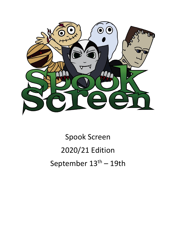

Spook Screen 2020/21 Edition September  $13<sup>th</sup> - 19th$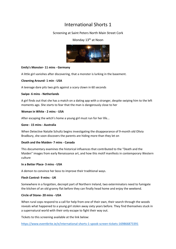# Screening at Saint Peters North Main Street Cork

### Monday 13<sup>th</sup> at Noon



#### **Emily's Monster- 11 mins - Germany**

A little girl vanishes after discovering, that a monster is lurking in the basement.

#### **Clowning Around- 1 min - USA**

A teenage dare pits two girls against a scary clown in 60 seconds

#### **Swipe- 6 mins - Netherlands**

A girl finds out that she has a match on a dating app with a stranger, despite swiping him to the left moments ago. She starts to fear that the man is dangerously close to her

#### **Woman in White - 2 mins - USA**

After escaping the witch's home a young girl must run for her life...

#### **Gone - 15 mins - Australia**

When Detective Natalie Schultz begins investigating the disappearance of 9-month old Olivia Bradbury, she soon discovers the parents are hiding more than they let on

#### **Death and the Maiden- 7 mins - Canada**

This documentary examines the historical influences that contributed to the "Death and the Maiden" images from early Renaissance art, and how this motif manifests in contemporary Western culture

#### **In a Better Place- 3 mins - USA**

A demon to convince her boss to improve their traditional ways.

#### **Flesh Control- 9 mins - UK**

Somewhere in a forgotten, decrepit part of Northern Ireland, two exterminators need to fumigate the kitchen of an old granny flat before they can finally head home and enjoy the weekend.

#### **Circle of Stone- 20 mins - USA**

When rural cops respond to a call for help from one of their own, their search through the woods reveals what happened to a young girl stolen away sixty years before. They find themselves stuck in a supernatural world with their only escape to fight their way out.

Tickets to this screening available at the link below:

<https://www.eventbrite.ie/e/international-shorts-1-spook-screen-tickets-169866873391>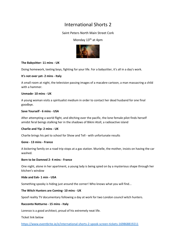### Saint Peters North Main Street Cork

### Monday  $13<sup>th</sup>$  at 4pm



#### **The Babysitter- 11 mins - UK**

Doing homework, texting boys, fighting for your life. For a babysitter, it's all in a day's work.

#### **It's not over yet- 2 mins - Italy**

A small room at night, the television passing images of a macabre cartoon, a man massacring a child with a hammer.

#### **Unmade- 10 mins - UK**

A young woman visits a spiritualist medium in order to contact her dead husband for one final goodbye.

#### **Save Yourself - 6 mins - USA**

After attempting a world flight, and ditching over the pacific, the lone female pilot finds herself amidst feral beings stalking her in the shadows of Bikini Atoll, a radioactive island

#### **Charlie and Yip- 2 mins - UK**

Charlie brings his pet to school for Show and Tell - with unfortunate results

#### **Gone - 13 mins - France**

A bickering family on a road trip stops at a gas station. Murielle, the mother, insists on having the car washed.

#### **Born to be Damned 2- 4 mins - France**

One night, alone in her apartment, a young lady is being spied on by a mysterious shape through her kitchen's window

#### **Hide and Eek- 1 min - USA**

Something spooky is hiding just around the corner! Who knows what you will find...

#### **The Witch Hunters are Coming- 10 mins - UK**

Spoof reality TV documentary following a day at work for two London council witch hunters.

#### **Racconto Notturno - 15 mins - Italy**

Lorenzo is a good architect, proud of his extremely neat life.

Ticket link below

<https://www.eventbrite.ie/e/international-shorts-2-spook-screen-tickets-169868819211>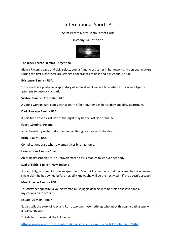### Saint Peters North Main Street Cork

## Tuesday 14<sup>th</sup> at Noon



#### **The Black Thread- 8 mins - Argentina**

Blanca Ravenna aged and sick, selects young Alma to assist her in homework and personal matters. During the first night there are strange appearances of dolls and a mysterious trunk.

#### **Existence- 3 mins - USA**

"Existence" is a post-apocalyptic story of survival and love in a time when artificial intelligence attempts to destroy civilization.

#### **Visitor- 6 mins – Czech Republic**

A young woman Bara copes with a death of her boyfriend in her shabby and dirty apartment.

#### **Dark Passage- 1 min - USA**

A part time driver's last ride of the night may be the last ride of his life.

#### **Faust- 10 mins - Poland**

an alchemist trying to find a meaning of life signs a deal with the devil.

#### **Birth- 2 mins - USA**

Complications arise when a woman gives birth at home.

#### **Horroscope- 4 mins - Spain**

An ordinary schoolgirl's life unravels after an evil creature takes over her body

#### **Leaf of Faith- 3 mins – New Zealand**

A plant, Lilly, is brought inside an apartment. She quickly discovers that her owner has killed every single plant he has owned before her. Lilly knows she will be the next victim if she doesn't escape!

#### **Meat Lovers- 4 mins - USA**

To satisfy her appetite, a young woman must juggle dealing with her salacious lover and a mysterious pizza order.

#### **Equals- 20 mins - Spain**

Equals tells the story of Alex and Ruth, two twentysomethings who meet through a dating app, with a real connection

Tickets to this event at the link below:

<https://www.eventbrite.ie/e/international-shorts-3-spook-screen-tickets-169869571461>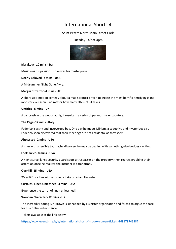### Saint Peters North Main Street Cork

### Tuesday 14<sup>th</sup> at 4pm



#### **Malakout- 10 mins - Iran**

Music was his passion... Love was his masterpiece...

#### **Deerly Beloved- 2 mins - USA**

A Midsummer Night Gone Awry.

#### **Margin of Terror- 4 mins - UK**

A short stop-motion comedy about a mad scientist driven to create the most horrific, terrifying giant monster ever seen – no matter how many attempts it takes

#### **Untitled- 6 mins - UK**

A car crash in the woods at night results in a series of paranormal encounters.

#### **The Cage- 12 mins - Italy**

Federico is a shy and introverted boy. One day he meets Miriam, a seductive and mysterious girl. Federico soon discovered that their meetings are not accidental as they seem

#### **Abscessed- 2 mins - USA**

A man with a terrible toothache discovers he may be dealing with something else besides cavities.

#### **Look Twice- 8 mins - USA**

A night surveillance security guard spots a trespasser on the property; then regrets grabbing their attention once he realizes the intruder is paranormal.

#### **Overkill- 15 mins - USA**

'OverKill' is a film with a comedic take on a familiar setup

#### **Curtains- Linen Unleashed- 3 mins - USA**

Experience the terror of linen unleashed!

#### **Wooden Character- 12 mins - UK**

The incredibly boring Mr. Brown is kidnapped by a sinister organisation and forced to argue the case for his continued existence.

Tickets available at the link below:

<https://www.eventbrite.ie/e/international-shorts-4-spook-screen-tickets-169879743887>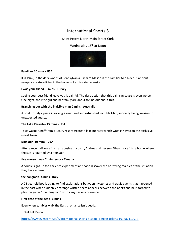### Saint Peters North Main Street Cork

### Wednesday 15<sup>th</sup> at Noon



#### **Familiar- 10 mins - USA**

It is 1942, in the dark woods of Pennsylvania, Richard Mason is the Familiar to a hideous ancient vampiric creature living in the bowels of an isolated mansion

#### **I was your friend- 3 mins - Turkey**

Seeing your best friend leave you is painful. The destruction that this pain can cause is even worse. One night, the little girl and her family are about to find out about this.

#### **Branching out with the invisible man-2 mins - Australia**

A brief nostalgic piece involving a very tired and exhausted Invisible Man, suddenly being awaken to unexpected guests.

#### **The Lake Parasite- 15 mins - USA**

Toxic waste runoff from a luxury resort creates a lake monster which wreaks havoc on the exclusive resort town.

#### **Monster- 10 mins - USA**

After a recent divorce from an abusive husband, Andrea and her son Ethan move into a home where the son is haunted by a monster.

#### **five course meal- 2 min terror - Canada**

A couple signs up for a science experiment and soon discover the horrifying realities of the situation they have entered.

#### **the hangman- 4 mins - Italy**

A 25 year old boy is trying to find explanations between mysteries and tragic events that happened in the past when suddenly a strange written sheet appears between the books and he is forced to play the game "The Hangman" with a mysterious presence.

#### **First date of the dead- 6 mins**

Even when zombies walk the Earth, romance isn't dead...

Ticket link Below:

<https://www.eventbrite.ie/e/international-shorts-5-spook-screen-tickets-169882112973>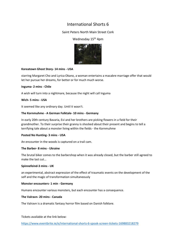## Saint Peters North Main Street Cork

### Wednesday 15<sup>th</sup> 4pm



#### **Koreatown Ghost Story- 14 mins - USA**

starring Margaret Cho and Lyrica Okano, a woman entertains a macabre marriage offer that would let her pursue her dreams, for better or for much much worse.

#### **Inguma- 2 mins - Chile**

A wish will turn into a nightmare, because the night will call Inguma

#### **Wich- 5 mins - USA**

It seemed like any ordinary day. Until it wasn't.

#### **The Kornmuhme - A German Folktale- 10 mins - Germany**

In early 20th century Bavaria, Evi and her brothers are picking flowers in a field for their grandmother. To their surprise their granny is shocked about their present and begins to tell a terrifying tale about a monster living within the fields - the Kornmuhme

#### **Posted No Hunting- 3 mins - USA**

An encounter in the woods is captured on a trail cam.

#### **The Barber- 8 mins - Ukraine**

The brutal biker comes to the barbershop when it was already closed, but the barber still agreed to make the last cut...

#### **Spinnefeind-3 mins - UK**

an experimental, abstract expression of the effect of traumatic events on the development of the self and the magic of transformation simultaneously

#### **Monster encounters- 1 min - Germany**

Humans encounter various monsters, but each encounter has a consequence.

#### **The Valravn- 20 mins - Canada**

The Valravn is a dramatic fantasy horror film based on Danish folklore.

Tickets available at the link below:

<https://www.eventbrite.ie/e/international-shorts-6-spook-screen-tickets-169883218279>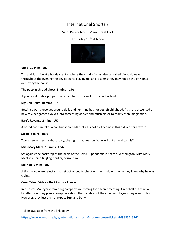# Saint Peters North Main Street Cork

# Thursday 16<sup>th</sup> at Noon



#### **Viola- 10 mins - UK**

Tim and Jo arrive at a holiday rental, where they find a 'smart device' called Viola. However, throughout the evening the device starts playing up, and it seems they may not be the only ones occupying the house.

### **The pocong shroud ghost- 3 mins - USA**

A young girl finds a puppet that's haunted with a evil from another land

### **My Doll Betty- 10 mins - UK**

Bettina's world revolves around dolls and her mind has not yet left childhood. As she is presented a new toy, her games evolves into something darker and much closer to reality than imagination.

#### **Bart's Revenge-2 mins - UK**

A bored barman takes a nap but soon finds that all is not as it seems in this old Western tavern.

#### **Script- 8 mins - Italy**

Two screenwriters, a ghost story, the night that goes on. Who will put an end to this?

#### **Miss Mary Mack- 18 mins - USA**

Set against the backdrop of the heart of the Covid19 pandemic in Seattle, Washington, Miss Mary Mack is a spine tingling, thriller/horror film.

#### **Kid Nap- 2 mins - UK**

A tired couple are reluctant to get out of bed to check on their toddler. If only they knew why he was crying.

#### **Cruel Tales, Friday Kills- 27 mins - France**

In a hostel, Managers from a big company are coming for a secret meeting. On behalf of the new bioethic Law, they plan a conspiracy about the slaughter of their own employees they want to layoff. However, they just did not expect Suzy and Dany.

Tickets available from the link below

<https://www.eventbrite.ie/e/international-shorts-7-spook-screen-tickets-169883513161>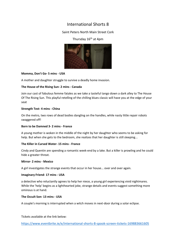# Saint Peters North Main Street Cork

# Thursday  $16<sup>th</sup>$  at 4pm



#### **Momma, Don't Go- 5 mins - USA**

A mother and daughter struggle to survive a deadly home invasion.

#### **The House of the Rising Sun- 2 mins - Canada**

Join our cast of fabulous femme fatales as we take a tasteful tango down a dark alley to The House Of The Rising Sun. This playful retelling of the chilling blues classic will have you at the edge of your seat

#### **Strength Test- 4 mins - China**

On the metro, two rows of dead bodies dangling on the handles, while nasty little repair robots swaggered off!

#### **Born to be Damned 3- 2 mins - France**

A young mother is woken in the middle of the night by her daughter who seems to be asking for help. But when she gets to the bedroom, she realizes that her daughter is still sleeping...

#### **The Killer in Cursed Water- 15 mins - France**

Cindy and Quentin are spending a romantic week-end by a lake. But a killer is prowling and he could hide a greater threat.

#### **Mirror- 2 mins - Mexico**

A girl investigates the strange events that occur in her house... over and over again.

#### **Imaginary Friend- 17 mins - USA**

a detective who reluctantly agrees to help her niece, a young girl experiencing vivid nightmares. While the 'help' begins as a lighthearted joke, strange details and events suggest something more ominous is at hand.

#### **The Occult Son- 13 mins - USA**

A couple's morning is interrupted when a witch moves in next-door during a solar eclipse.

Tickets available at the link below:

<https://www.eventbrite.ie/e/international-shorts-8-spook-screen-tickets-169883661605>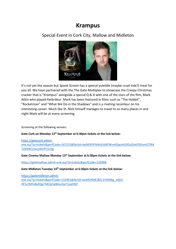# **Krampus**

Special Event in Cork City, Mallow and Midleton



It's not yet the season but Spook Screen has a special yuletide (maybe cruel-tide?) treat for you all. We have partnered with the The Gate Multiplex to showcase the Creepy Christmas cracker that is "Krampus" alongside a special Q & A with one of the stars of the film, Mark Atkin who played Ketkrókur. Mark has been featured in films such as "The Hobbit", "Rocketman" and "What We Do in the Shadows" and is a riveting raconteur on his interesting career. Much like St. Nick himself manages to travel to so many places in one night Mark will be at every screening.

Screening at the following venues:

**Gate Cork on Monday 13th September at 6:30pm tickets at the link below:**

[https://gatecork.admit](https://gatecork.admit-one.eu/?p=tickets&perfCode=167215&fbclid=IwAR3FRYbWzEIdXFWm4QqtzHG9ZxQVeFDOvmO7fkX72KNW13wvjWlrPC5niIg)[one.eu/?p=tickets&perfCode=167215&fbclid=IwAR3FRYbWzEIdXFWm4QqtzHG9ZxQVeFDOvmO7fkX](https://gatecork.admit-one.eu/?p=tickets&perfCode=167215&fbclid=IwAR3FRYbWzEIdXFWm4QqtzHG9ZxQVeFDOvmO7fkX72KNW13wvjWlrPC5niIg) [72KNW13wvjWlrPC5niIg](https://gatecork.admit-one.eu/?p=tickets&perfCode=167215&fbclid=IwAR3FRYbWzEIdXFWm4QqtzHG9ZxQVeFDOvmO7fkX72KNW13wvjWlrPC5niIg)

**Gate Cinema Mallow Monday 13th September at 6:30pm tickets at the link below:**

<https://gatemallow.admit-one.eu/?p=tickets&perfCode=132068>

**Gate Midleton Tuesday 14th September at 6:30pm tickets at the link below:**

[https://gatemidleton.admit](https://gatemidleton.admit-one.eu/?p=tickets&perfCode=132401&fbclid=IwAR2KMEJBZc1YtlD6kg_tddzf-3E5cZMFe8yfOgr7kKQz5eBGuVqnTzyaOK0)[one.eu/?p=tickets&perfCode=132401&fbclid=IwAR2KMEJBZc1YtlD6kg\\_tddzf-](https://gatemidleton.admit-one.eu/?p=tickets&perfCode=132401&fbclid=IwAR2KMEJBZc1YtlD6kg_tddzf-3E5cZMFe8yfOgr7kKQz5eBGuVqnTzyaOK0)[3E5cZMFe8yfOgr7kKQz5eBGuVqnTzyaOK0](https://gatemidleton.admit-one.eu/?p=tickets&perfCode=132401&fbclid=IwAR2KMEJBZc1YtlD6kg_tddzf-3E5cZMFe8yfOgr7kKQz5eBGuVqnTzyaOK0)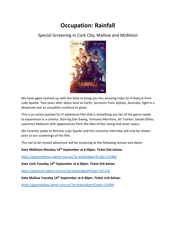# **Occupation: Rainfall**

Special Screening in Cork City, Mallow and Midleton



We have again teamed up with the Gate to bring you this amazing Indie Sci-fi feature from Luke Sparke. Two years after aliens land on Earth, Survivors from Sydney, Australia, fight in a desperate war as casualties continue to grow.

This is an action-packed Sci-Fi adventure film that is something any fan of the genre needs to experience in a cinema. Starring Dan Ewing, Temuera Morrison, Jet Tranter, Daniel Gillies, Lawrence Makoare with appearances form the likes of Ken Jeong and Jason Isaacs.

We recently spoke to director Luke Sparke and this exclusive interview will only be shown prior to our screenings of the film.

This not to be missed adventure will be screening at the following venues and dates:

**Gate Midleton Monday 13th September at 6:30pm. Ticket link below:**

<https://gatemidleton.admit-one.eu/?p=tickets&perfCode=132400>

**Gate Cork Tuesday 14th September at 6:30pm. Ticket link below**

<https://gatecork.admit-one.eu/?p=tickets&perfCode=167216>

**Gate Mallow Tuesday 14th September at 6:30pm. Ticket Link below:**

<https://gatemallow.admit-one.eu/?p=tickets&perfCode=132069>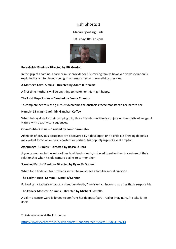## Macau Sporting Club

#### Saturday 18<sup>th</sup> at 2pm



#### **Pure Gold- 13 mins – Directed by Rik Gordon**

In the grip of a famine, a farmer must provide for his starving family, however his desperation is exploited by a mischievous being, that tempts him with something precious.

#### **A Mother's Love- 5 mins – Directed by Adam H Stewart**

A first time mother's will do anything to make her infant girl happy.

#### **The First Step- 5 mins – Directed by Emma Cmmins**

To complete her task the girl must overcome the obstacles these monsters place before her.

#### **Nymph- 15 mins - Caoimhin Gaughan Coffey**

When betrayal stalks their camping trip, three friends unwittingly conjure up the spirits of vengeful Nature with deathly consequences.

#### **Grian Dubh- 5 mins – Directed by Sonic Barometer**

Artefacts of previous occupants are discovered by a developer; one a childlike drawing depicts a malevolent force, an ominous portent or perhaps his doppelgänger? Caveat emptor...

#### **Afterimage- 10 mins – Directed by Rossa O'Hara**

A young woman, in the wake of her boyfriend's death, is forced to relive the dark nature of their relationship when his old camera begins to torment her

#### **Scorched Earth- 11 mins – Directed by Ryan McDonnell**

When John finds out his brother's secret, he must face a familiar moral question.

#### **The Early House- 12 mins – Derek O'Connor**

Following his father's unusual and sudden death, Glen is on a mission to go after those responsible.

#### **The Cancer Monster- 15 mins – Directed by Michael Costello**

A girl in a cancer ward is forced to confront her deepest fears - real or imaginary. At stake is life itself.

Tickets available at the link below:

<https://www.eventbrite.ie/e/irish-shorts-1-spookscreen-tickets-169854109213>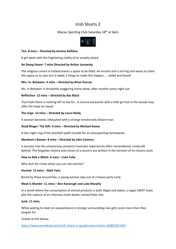# Macau Sporting Club Saturday 18<sup>th</sup> at 4pm



#### **Ten- 8 mins – Directed by Jerome Kellehar**

A girl deals with the frightening reality of an anxiety attack.

#### **An Dearg Doom- 7 mins Directed by Arthur Janowsky**

The religious unrest in Ireland leaves a space to be filled. An ancient evil is stirring and wants to claim this space as its own but it needs 2 things to make this happen......belief and blood!

#### **Mrs. In- Between- 4 mins – Directed by Brian Durcan**

Ms. In-Between is drunkenly staggering home alone, after another party night out.

#### **Reflection- 12 mins – Directed by Baz Black**

'Paul feels there is nothing left to live for.. A chance encounter with a little girl lost in the woods may offer the hope he needs'

#### **The Urge- 13 mins – Directed by Laura Reidy**

A woman becomes infatuated with a strange emotionally distant man

#### **Dead Ringer: The Gift- 4 mins – Directed by Michael Keane**

A late night ring of the doorbell spells trouble for an unsuspecting homeowner.

#### **Abraham's Bosom- 8 mins – Directed by John Connors**

A Journey into the unconscious presents traumatic experiences often remembered, rarely left behind. The forgotten history and crimes of a country are written in the torment of its citizens souls

#### **How to Rob a Witch- 6 mins – Liam Fahy**

Why wish for riches when you can rob witches?

#### **Hunted- 12 mins – Matt Faris**

Bored by those around her, a young woman slips out of a house party early.

#### **Meat is Murder- 11 mins – Ben Kavanagh and Luke Murphy**

In a world where the consumption of animal products is both illegal and taboo, a vegan SWAT-team plot the capture of an infamous meat-dealer named Peter Ash.

#### **Junk- 11 mins**

While waiting to meet an acquaintance in strange surroundings two girls score more than they bargain for

Tickets at link below:

<https://www.eventbrite.ie/e/irish-shorts-2-spookscreen-tickets-169855872487>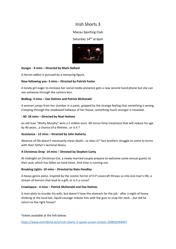# Macau Sporting Club

### Saturday 14<sup>th</sup> at 6pm



#### **Hunger - 9 mins – Directed by Mark Dollard**

A heroin addict is pursued by a menacing figure.

#### **Now following you- 3 mins – Directed by Patrick Foster**

A lonely girl eager to increase her social media presence gets a new second hand phone but she can see someone through the camera lens.

#### **Bedbug- 4 mins – Zoe Holmes and Patrick McDonald**

A woman jumps from her slumber in a panic, gripped by the strange feeling that something is wrong. Creeping through the shadowed hallways of her house, something much stranger is revealed.

#### **- 40- 18 mins – Directed by Noel Holmes**

an old man "Wishy Murphy" wins a 5 million euro -40 minus forty treatment that will reduce his age by 40 years...a chance of a lifetime...or is it ?

#### **Assistance - 12 mins – Directed by John Doherty**

Absence of life doesn't necessarily mean death...or does it? Two brothers struggle to come to terms with their father's terminal illness.

#### **A Christmas Drop- 14 mins – Directed by Stephen Canty**

At midnight on Christmas Eve, a newly-married couple prepare to welcome some annual guests to their pub, which has fallen on hard times. And time is running out.

#### **Breaking Lights- 10 mins – Directed by Nate Handley**

A heavy genre piece, inspired by the cosmic horror of H.P Lovecraft throws us into one man's life, a stream of horrors that lead to a gift, or is it a curse?

#### **Crawlspace - 4 mins – Patrick McDonald and Zoe Holmes**

A man plots to murder his wife, but doesn't have the stomach for the job - after a night of heavy drinking at the local bar, liquid courage imbues him with the guts to snap her neck ...but did he return to the right house?

Tickets available at the link below:

<https://www.eventbrite.ie/e/irish-shorts-3-spook-screen-tickets-169856394047>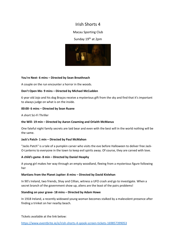### Macau Sporting Club

### Sunday 19<sup>th</sup> at 2pm



#### **You're Next- 6 mins – Directed by Sean Breathnach**

A couple on the run encounter a horror in the woods.

#### **Don't Open Me- 9 mins – Directed by Michael McCudden**

6 year old Jojo and his dog Braços receive a mysterious gift from the sky and find that it's important to always judge on what is on the inside.

#### **00:00- 6 mins – Directed by Sean Ruane**

A short Sci-Fi Thriller

#### **the Will- 19 min – Directed by Aaron Cowming and Orlaith McManus**

One fateful night family secrets are laid bear and even with the best will in the world nothing will be the same.

#### **Jack's Patch- 1 min – Directed by Paul McMahon**

"Jacks Patch" is a tale of a pumpkin carver who visits the eve before Halloween to deliver free Jack-O-Lanterns to everyone in the town to keep evil spirits away. Of course, they are carved with love.

#### **A child's game- 8 min – Directed by Daniel Heaphy**

A young girl makes her way through an empty woodland, fleeing from a mysterious figure following her

#### **Martians from the Planet Jupiter: 8 mins – Directed by David Kivlehan**

In 90's Ireland, two friends, Shay and Cillian, witness a UFO crash and go to investigate. When a secret branch of the government show up, aliens are the least of the pairs problems!

#### **Standing on your grave- 18 mins – Directed by Adam Howe**

In 1918 Ireland, a recently widowed young woman becomes stalked by a malevolent presence after finding a trinket on her nearby beach.

Tickets available at the link below:

<https://www.eventbrite.ie/e/irish-shorts-4-spook-screen-tickets-169857399053>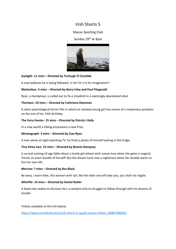## Macau Sporting Club

### Sunday 19<sup>th</sup> at 4pm



### **Gaslight- 11 mins – Directed by Turlough Ó Cinnéide**

A man believes he is being followed. Is he? Or is it his imagination?

#### **Motionless- 5 mins – Directed by Barry Fahy and Paul Fitzgerald**

Ryan, a Handyman, is called out to fix a treadmill in a seemingly abandoned shed

#### **Therteen- 10 mins – Directed by Cathriona Slammon**

A silent psychological horror film in which an isolated young girl has visions of a mysterious predator on the eve of her 13th birthday.

#### **The Fairy Hunter- 15 mins – Directed by Patrick J Kelly**

In a new world a Viking encounters a new Prey.

### **Mimeograph- 3 mins – Directed by Cian Ryan**

A man alone at night watching TV, he finds a photo of himself looking in the fridge

#### **Tina times two- 15 mins – Directed by Bonnie Dempsey**

A surreal coming-of-age fable about a lonely girl whose wish comes true when she gains a magical friend; an exact double of herself! But the dream turns into a nightmare when her double wants to live her own life.

#### **Merrow: 7 mins – Directed by Baz Black**

Be wary, I warn thee, this woman with tail, like the tides she will take you, you shall not regale.

#### **Afterlife- 14 mins – Directed by Daniel Butler**

A dead man wakes to discover he's a vampire only to struggle to follow through with his dreams of escape.

Tickets available at the link below:

<https://www.eventbrite.ie/e/irish-shorts-5-spook-screen-tickets-169857866451>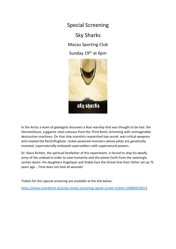Special Screening

# Sky Sharks

Macau Sporting Club

Sunday 19<sup>th</sup> at 6pm



In the Arctic a team of geologists discovers a Nazi warship that was thought to be lost: the Himmelsfaust, a gigantic steel colossus from the Third Reich, brimming with unimaginable destruction machines. On that ship scientists researched top-secret, war-critical weapons and created the Reichsflughaie: rocket-powered monsters whose pilots are genetically mutated, supernaturally endowed supersoldiers with supernatural powers.

Dr. Klaus Richter, the spiritual forefather of this experiment, is forced to stop his deadly army of the undead in order to save humanity and the planet Earth from the seemingly certain doom. His daughters Angelique and Diabla face the threat that their father set up 75 years ago …Time does not heal all wounds!

Tickets for this special screening are available at the link below:

<https://www.eventbrite.ie/e/sky-sharks-screening-spook-screen-tickets-169860026913>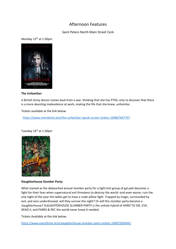# Afternoon Features

# Saint Peters North Main Street Cork

# Monday 13<sup>th</sup> at 1:30pm



#### **The Unfamiliar:**

A British Army doctor comes back from a war, thinking that she has PTSD, only to discover that there is a more daunting malevolence at work, making the life that she knew, unfamiliar.

Tickets available at the link below:

. <https://www.eventbrite.ie/e/the-unfamiliar-spook-screen-tickets-169867647707>

Tuesday 14<sup>th</sup> at 1:30pm



#### **Slaughterhouse Slumber Party:**

What started as the debauched annual slumber party for a tight knit group of gal pals becomes a fight for their lives when supernatural evil threatens to destroy the world--and even worse, ruin the one night of the year the ladies get to have a nude pillow fight. Trapped by magic, surrounded by evil, and very underdressed, will they survive the night? Or will this slumber party become a slaughterhouse? SLAUGHTERHOUSE SLUMBER PARTY is the unholy hybrid of HARD TO DIE, EVIL DEAD II, and PARKS & REC the world never knew it needed.

Tickets Available at the link below:

<https://www.eventbrite.ie/e/slaughterhouse-slumber-party-tickets-169879260441>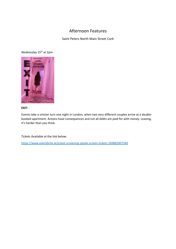# Afternoon Features

Saint Peters North Main Street Cork

Wednesday 15<sup>th</sup> at 2pm



#### **EXIT:**

Events take a sinister turn one night in London, when two very different couples arrive at a doublebooked apartment. Actions have consequences and not all debts are paid for with money. Leaving, it's harder than you think.

Tickets Available at the link below:

<https://www.eventbrite.ie/e/exit-screening-spook-screen-tickets-169882907349>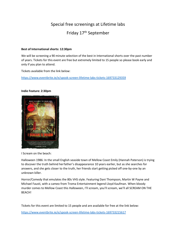# Special free screenings at Lifetime labs Friday 17th September

#### **Best of International shorts: 12:30pm**

We will be screening a 90 minute selection of the best in International shorts over the past number of years. Tickets for this event are free but extremely limited to 15 people so please book early and only if you plan to attend.

Tickets available from the link below:

<https://www.eventbrite.ie/e/spook-screen-lifetime-labs-tickets-169733129359>

#### **Indie Feature: 2:30pm**



I Scream on the beach:

Halloween 1986: In the small English seaside town of Mellow Coast Emily (Hannah Paterson) is trying to discover the truth behind herfather's disappearance 10 years earlier, but as she searches for answers, and she gets closer to the truth, her friends start getting picked off one-by-one by an unknown killer.

Horror/Comedy that emulates the 80s VHS style. Featuring Dani Thompson, Martin W Payne and Michael Fausti, with a cameo from Troma Entertainment legend Lloyd Kaufman. When bloody murder comes to Mellow Coast this Halloween, I'll scream, you'll scream, we'll all SCREAM ON THE BEACH!

Tickets for this event are limited to 15 people and are available for free at the link below: <https://www.eventbrite.ie/e/spook-screen-lifetime-labs-tickets-169733215617>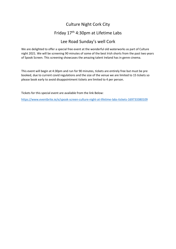# Culture Night Cork City

# Friday 17th 4:30pm at Lifetime Labs

# Lee Road Sunday's well Cork

We are delighted to offer a special free event at the wonderful old waterworks as part of Culture night 2021. We will be screening 90 minutes of some of the best Irish shorts from the past two years of Spook Screen. This screening showcases the amazing talent Ireland has in genre cinema.

This event will begin at 4:30pm and run for 90 minutes, tickets are entirely free but must be pre booked, due to current covid regulations and the size of the venue we are limited to 15 tickets so please book early to avoid disappointment tickets are limited to 4 per person.

Tickets for this special event are available from the link Below:

<https://www.eventbrite.ie/e/spook-screen-culture-night-at-lifetime-labs-tickets-169733380109>